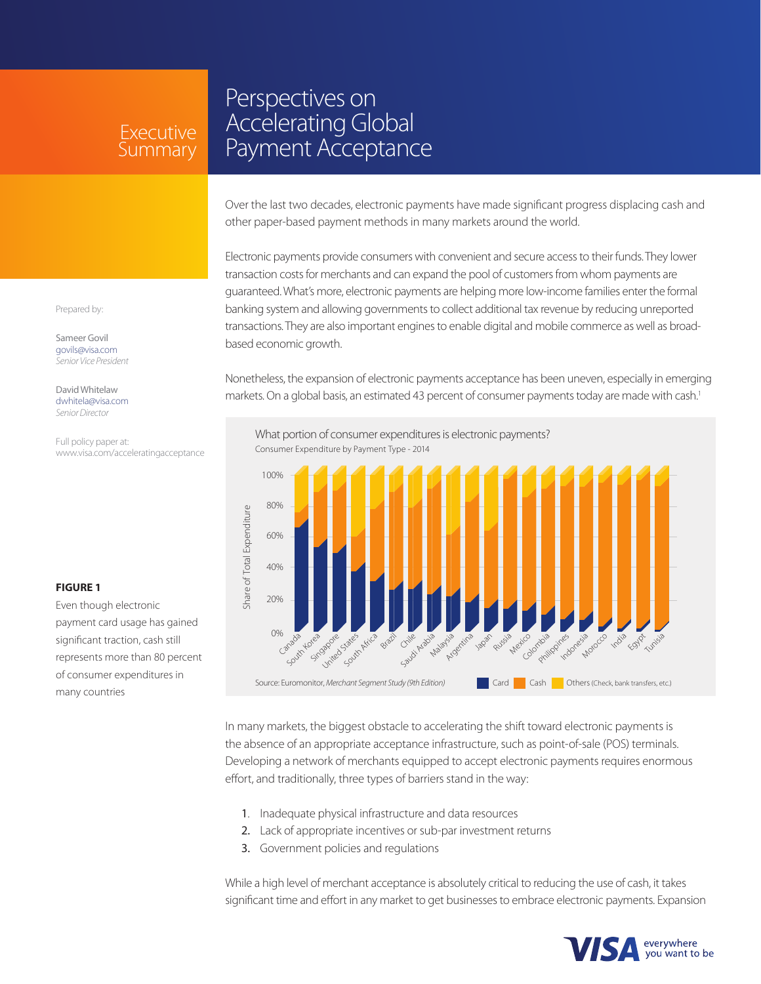## Executive Summary

# Perspectives on Accelerating Global Payment Acceptance

Over the last two decades, electronic payments have made significant progress displacing cash and other paper-based payment methods in many markets around the world.

Electronic payments provide consumers with convenient and secure access to their funds. They lower transaction costs for merchants and can expand the pool of customers from whom payments are guaranteed. What's more, electronic payments are helping more low-income families enter the formal banking system and allowing governments to collect additional tax revenue by reducing unreported transactions. They are also important engines to enable digital and mobile commerce as well as broadbased economic growth.

Nonetheless, the expansion of electronic payments acceptance has been uneven, especially in emerging markets. On a global basis, an estimated 43 percent of consumer payments today are made with cash.<sup>1</sup>



In many markets, the biggest obstacle to accelerating the shift toward electronic payments is the absence of an appropriate acceptance infrastructure, such as point-of-sale (POS) terminals. Developing a network of merchants equipped to accept electronic payments requires enormous effort, and traditionally, three types of barriers stand in the way:

- 1. Inadequate physical infrastructure and data resources
- 2. Lack of appropriate incentives or sub-par investment returns
- 3. Government policies and regulations

While a high level of merchant acceptance is absolutely critical to reducing the use of cash, it takes significant time and effort in any market to get businesses to embrace electronic payments. Expansion



Prepared by:

Sameer Govil govils@visa.com *Senior Vice President*

David Whitelaw dwhitela@visa.com *Senior Director*

Full policy paper at: www.visa.com/acceleratingacceptance

#### **FIGURE 1**

Even though electronic payment card usage has gained significant traction, cash still represents more than 80 percent of consumer expenditures in many countries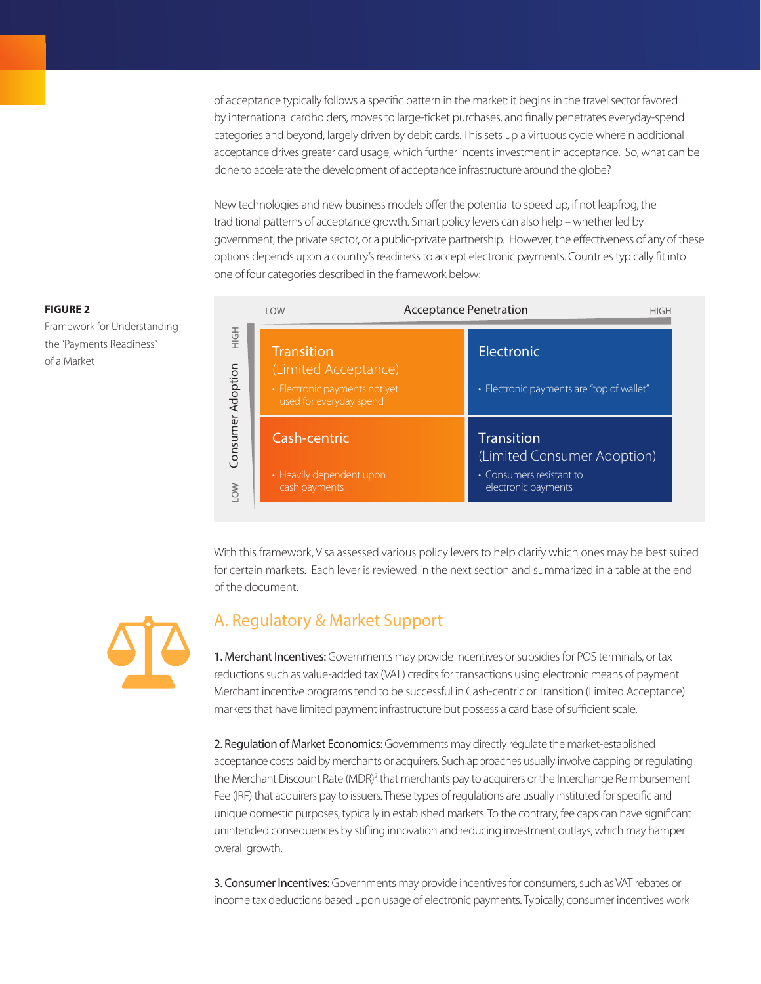of acceptance typically follows a specific pattern in the market: it begins in the travel sector favored by international cardholders, moves to large-ticket purchases, and finally penetrates everyday-spend categories and beyond, largely driven by debit cards. This sets up a virtuous cycle wherein additional acceptance drives greater card usage, which further incents investment in acceptance. So, what can be done to accelerate the development of acceptance infrastructure around the globe?

New technologies and new business models offer the potential to speed up, if not leapfrog, the traditional patterns of acceptance growth. Smart policy levers can also help – whether led by government, the private sector, or a public-private partnership. However, the effectiveness of any of these options depends upon a country's readiness to accept electronic payments. Countries typically fit into one of four categories described in the framework below:

#### **FIGURE 2**

Framework for Understanding the "Payments Readiness" of a Market

|                          | <b>LOW</b>                                                                                            | <b>Acceptance Penetration</b>                           |  |
|--------------------------|-------------------------------------------------------------------------------------------------------|---------------------------------------------------------|--|
|                          | <b>Transition</b><br>(Limited Acceptance)<br>• Electronic payments not yet<br>used for everyday spend | Electronic<br>• Electronic payments are "top of wallet" |  |
| Consumer Adoption<br>LOW | Cash-centric                                                                                          | <b>Transition</b><br>(Limited Consumer Adoption)        |  |
|                          | • Heavily dependent upon<br>cash payments                                                             | • Consumers resistant to<br>electronic payments         |  |

With this framework, Visa assessed various policy levers to help clarify which ones may be best suited for certain markets. Each lever is reviewed in the next section and summarized in a table at the end of the document.



### A. Regulatory & Market Support

1. Merchant Incentives: Governments may provide incentives or subsidies for POS terminals, or tax reductions such as value-added tax (VAT) credits for transactions using electronic means of payment. Merchant incentive programs tend to be successful in Cash-centric or Transition (Limited Acceptance) markets that have limited payment infrastructure but possess a card base of sufficient scale.

2. Regulation of Market Economics: Governments may directly regulate the market-established acceptance costs paid by merchants or acquirers. Such approaches usually involve capping or regulating the Merchant Discount Rate (MDR)<sup>2</sup> that merchants pay to acquirers or the Interchange Reimbursement Fee (IRF) that acquirers pay to issuers. These types of regulations are usually instituted for specific and unique domestic purposes, typically in established markets. To the contrary, fee caps can have significant unintended consequences by stifling innovation and reducing investment outlays, which may hamper overall growth.

3. Consumer Incentives: Governments may provide incentives for consumers, such as VAT rebates or income tax deductions based upon usage of electronic payments. Typically, consumer incentives work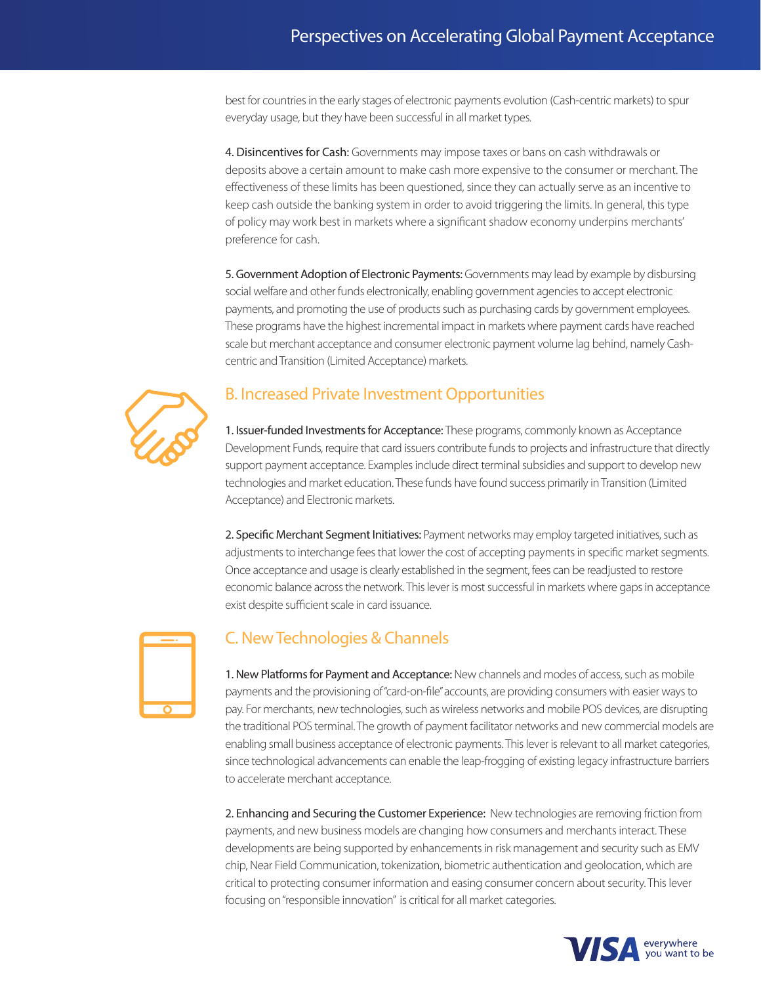best for countries in the early stages of electronic payments evolution (Cash-centric markets) to spur everyday usage, but they have been successful in all market types.

4. Disincentives for Cash: Governments may impose taxes or bans on cash withdrawals or deposits above a certain amount to make cash more expensive to the consumer or merchant. The effectiveness of these limits has been questioned, since they can actually serve as an incentive to keep cash outside the banking system in order to avoid triggering the limits. In general, this type of policy may work best in markets where a significant shadow economy underpins merchants' preference for cash.

5. Government Adoption of Electronic Payments: Governments may lead by example by disbursing social welfare and other funds electronically, enabling government agencies to accept electronic payments, and promoting the use of products such as purchasing cards by government employees. These programs have the highest incremental impact in markets where payment cards have reached scale but merchant acceptance and consumer electronic payment volume lag behind, namely Cashcentric and Transition (Limited Acceptance) markets.



### B. Increased Private Investment Opportunities

1. Issuer-funded Investments for Acceptance: These programs, commonly known as Acceptance Development Funds, require that card issuers contribute funds to projects and infrastructure that directly support payment acceptance. Examples include direct terminal subsidies and support to develop new technologies and market education. These funds have found success primarily in Transition (Limited Acceptance) and Electronic markets.

2. Specific Merchant Segment Initiatives: Payment networks may employ targeted initiatives, such as adjustments to interchange fees that lower the cost of accepting payments in specific market segments. Once acceptance and usage is clearly established in the segment, fees can be readjusted to restore economic balance across the network. This lever is most successful in markets where gaps in acceptance exist despite sufficient scale in card issuance.



### C. New Technologies & Channels

1. New Platforms for Payment and Acceptance: New channels and modes of access, such as mobile payments and the provisioning of "card-on-file" accounts, are providing consumers with easier ways to pay. For merchants, new technologies, such as wireless networks and mobile POS devices, are disrupting the traditional POS terminal. The growth of payment facilitator networks and new commercial models are enabling small business acceptance of electronic payments. This lever is relevant to all market categories, since technological advancements can enable the leap-frogging of existing legacy infrastructure barriers to accelerate merchant acceptance.

2. Enhancing and Securing the Customer Experience: New technologies are removing friction from payments, and new business models are changing how consumers and merchants interact. These developments are being supported by enhancements in risk management and security such as EMV chip, Near Field Communication, tokenization, biometric authentication and geolocation, which are critical to protecting consumer information and easing consumer concern about security. This lever focusing on "responsible innovation" is critical for all market categories.